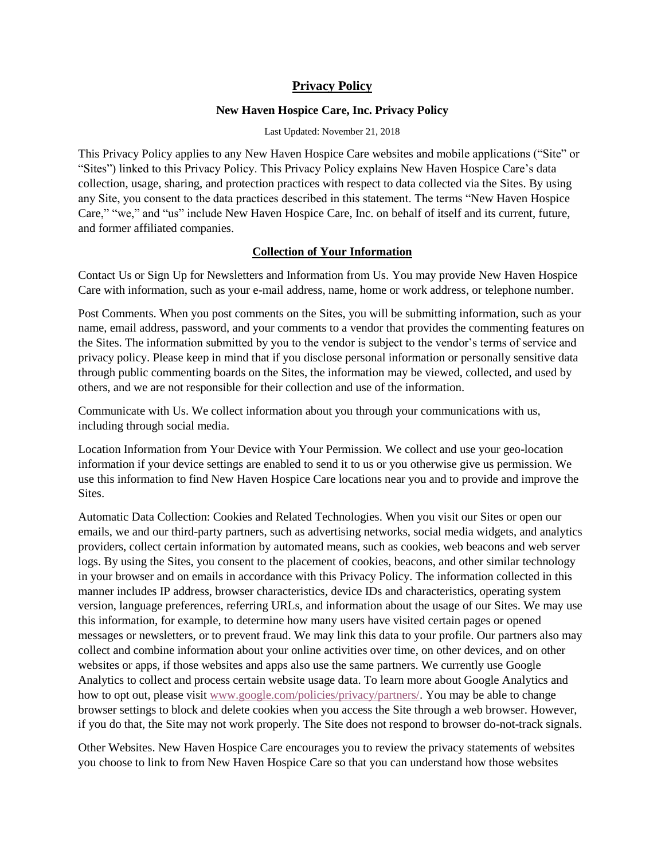# **Privacy Policy**

## **New Haven Hospice Care, Inc. Privacy Policy**

Last Updated: November 21, 2018

This Privacy Policy applies to any New Haven Hospice Care websites and mobile applications ("Site" or "Sites") linked to this Privacy Policy. This Privacy Policy explains New Haven Hospice Care's data collection, usage, sharing, and protection practices with respect to data collected via the Sites. By using any Site, you consent to the data practices described in this statement. The terms "New Haven Hospice Care," "we," and "us" include New Haven Hospice Care, Inc. on behalf of itself and its current, future, and former affiliated companies.

## **Collection of Your Information**

Contact Us or Sign Up for Newsletters and Information from Us. You may provide New Haven Hospice Care with information, such as your e-mail address, name, home or work address, or telephone number.

Post Comments. When you post comments on the Sites, you will be submitting information, such as your name, email address, password, and your comments to a vendor that provides the commenting features on the Sites. The information submitted by you to the vendor is subject to the vendor's terms of service and privacy policy. Please keep in mind that if you disclose personal information or personally sensitive data through public commenting boards on the Sites, the information may be viewed, collected, and used by others, and we are not responsible for their collection and use of the information.

Communicate with Us. We collect information about you through your communications with us, including through social media.

Location Information from Your Device with Your Permission. We collect and use your geo-location information if your device settings are enabled to send it to us or you otherwise give us permission. We use this information to find New Haven Hospice Care locations near you and to provide and improve the Sites.

Automatic Data Collection: Cookies and Related Technologies. When you visit our Sites or open our emails, we and our third-party partners, such as advertising networks, social media widgets, and analytics providers, collect certain information by automated means, such as cookies, web beacons and web server logs. By using the Sites, you consent to the placement of cookies, beacons, and other similar technology in your browser and on emails in accordance with this Privacy Policy. The information collected in this manner includes IP address, browser characteristics, device IDs and characteristics, operating system version, language preferences, referring URLs, and information about the usage of our Sites. We may use this information, for example, to determine how many users have visited certain pages or opened messages or newsletters, or to prevent fraud. We may link this data to your profile. Our partners also may collect and combine information about your online activities over time, on other devices, and on other websites or apps, if those websites and apps also use the same partners. We currently use Google Analytics to collect and process certain website usage data. To learn more about Google Analytics and how to opt out, please visit [www.google.com/policies/privacy/partners/.](https://www.google.com/policies/privacy/partners/) You may be able to change browser settings to block and delete cookies when you access the Site through a web browser. However, if you do that, the Site may not work properly. The Site does not respond to browser do-not-track signals.

Other Websites. New Haven Hospice Care encourages you to review the privacy statements of websites you choose to link to from New Haven Hospice Care so that you can understand how those websites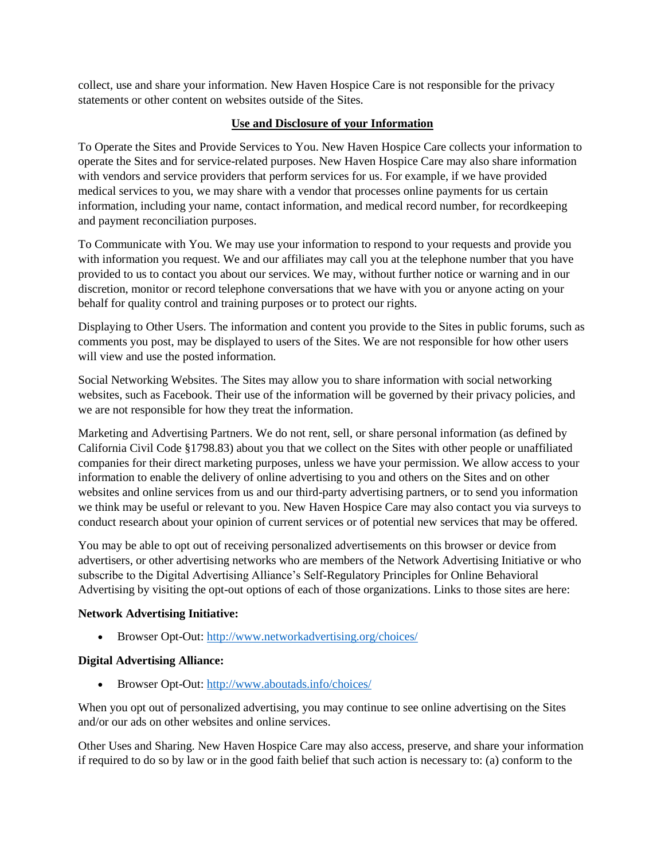collect, use and share your information. New Haven Hospice Care is not responsible for the privacy statements or other content on websites outside of the Sites.

## **Use and Disclosure of your Information**

To Operate the Sites and Provide Services to You. New Haven Hospice Care collects your information to operate the Sites and for service-related purposes. New Haven Hospice Care may also share information with vendors and service providers that perform services for us. For example, if we have provided medical services to you, we may share with a vendor that processes online payments for us certain information, including your name, contact information, and medical record number, for recordkeeping and payment reconciliation purposes.

To Communicate with You. We may use your information to respond to your requests and provide you with information you request. We and our affiliates may call you at the telephone number that you have provided to us to contact you about our services. We may, without further notice or warning and in our discretion, monitor or record telephone conversations that we have with you or anyone acting on your behalf for quality control and training purposes or to protect our rights.

Displaying to Other Users. The information and content you provide to the Sites in public forums, such as comments you post, may be displayed to users of the Sites. We are not responsible for how other users will view and use the posted information.

Social Networking Websites. The Sites may allow you to share information with social networking websites, such as Facebook. Their use of the information will be governed by their privacy policies, and we are not responsible for how they treat the information.

Marketing and Advertising Partners. We do not rent, sell, or share personal information (as defined by California Civil Code §1798.83) about you that we collect on the Sites with other people or unaffiliated companies for their direct marketing purposes, unless we have your permission. We allow access to your information to enable the delivery of online advertising to you and others on the Sites and on other websites and online services from us and our third-party advertising partners, or to send you information we think may be useful or relevant to you. New Haven Hospice Care may also contact you via surveys to conduct research about your opinion of current services or of potential new services that may be offered.

You may be able to opt out of receiving personalized advertisements on this browser or device from advertisers, or other advertising networks who are members of the Network Advertising Initiative or who subscribe to the Digital Advertising Alliance's Self-Regulatory Principles for Online Behavioral Advertising by visiting the opt-out options of each of those organizations. Links to those sites are here:

## **Network Advertising Initiative:**

• Browser Opt-Out: <http://www.networkadvertising.org/choices/>

## **Digital Advertising Alliance:**

• Browser Opt-Out: <http://www.aboutads.info/choices/>

When you opt out of personalized advertising, you may continue to see online advertising on the Sites and/or our ads on other websites and online services.

Other Uses and Sharing. New Haven Hospice Care may also access, preserve, and share your information if required to do so by law or in the good faith belief that such action is necessary to: (a) conform to the